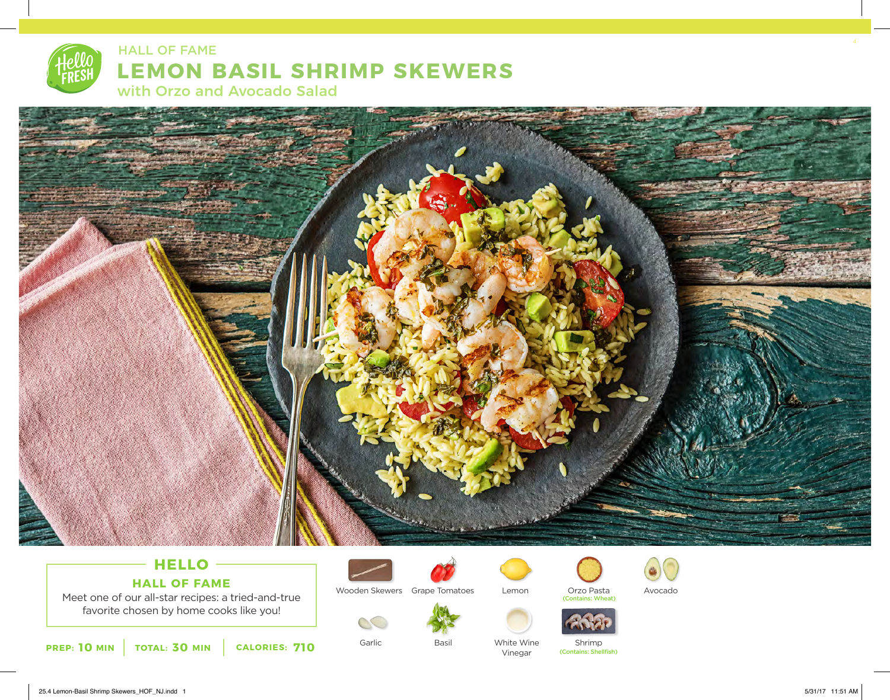

## **LEMON BASIL SHRIMP SKEWERS**

with Orzo and Avocado Salad

HALL OF FAME



### **HELLO HALL OF FAME**

Meet one of our all-star recipes: a tried-and-true favorite chosen by home cooks like you!

**10** MIN | TOTAL: **30** MIN | CALORIES: **710** 



Wooden Skewers Grape Tomatoes

Garlic

 $CC$ 



Basil



Lemon

White Wine Vinegar



(Contains: Wheat)



Shrimp (Contains: Shellfish)